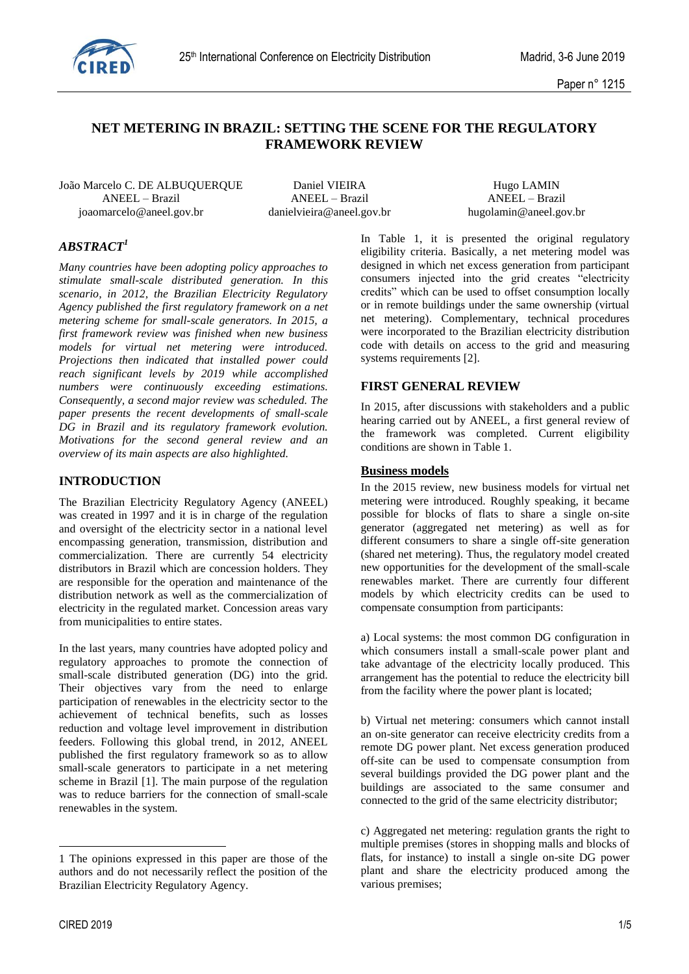

# **NET METERING IN BRAZIL: SETTING THE SCENE FOR THE REGULATORY FRAMEWORK REVIEW**

João Marcelo C. DE ALBUQUERQUE Daniel VIEIRA Hugo LAMIN ANEEL – Brazil ANEEL – Brazil ANEEL – Brazil joaomarcelo@aneel.gov.br danielvieira@aneel.gov.br hugolamin@aneel.gov.br

# *ABSTRACT<sup>1</sup>*

*Many countries have been adopting policy approaches to stimulate small-scale distributed generation. In this scenario, in 2012, the Brazilian Electricity Regulatory Agency published the first regulatory framework on a net metering scheme for small-scale generators. In 2015, a first framework review was finished when new business models for virtual net metering were introduced. Projections then indicated that installed power could reach significant levels by 2019 while accomplished numbers were continuously exceeding estimations. Consequently, a second major review was scheduled. The paper presents the recent developments of small-scale DG in Brazil and its regulatory framework evolution. Motivations for the second general review and an overview of its main aspects are also highlighted.*

## **INTRODUCTION**

The Brazilian Electricity Regulatory Agency (ANEEL) was created in 1997 and it is in charge of the regulation and oversight of the electricity sector in a national level encompassing generation, transmission, distribution and commercialization. There are currently 54 electricity distributors in Brazil which are concession holders. They are responsible for the operation and maintenance of the distribution network as well as the commercialization of electricity in the regulated market. Concession areas vary from municipalities to entire states.

In the last years, many countries have adopted policy and regulatory approaches to promote the connection of small-scale distributed generation (DG) into the grid. Their objectives vary from the need to enlarge participation of renewables in the electricity sector to the achievement of technical benefits, such as losses reduction and voltage level improvement in distribution feeders. Following this global trend, in 2012, ANEEL published the first regulatory framework so as to allow small-scale generators to participate in a net metering scheme in Brazil [1]. The main purpose of the regulation was to reduce barriers for the connection of small-scale renewables in the system.

1

In Table 1, it is presented the original regulatory eligibility criteria. Basically, a net metering model was designed in which net excess generation from participant consumers injected into the grid creates "electricity credits" which can be used to offset consumption locally or in remote buildings under the same ownership (virtual net metering). Complementary, technical procedures were incorporated to the Brazilian electricity distribution code with details on access to the grid and measuring systems requirements [2].

## **FIRST GENERAL REVIEW**

In 2015, after discussions with stakeholders and a public hearing carried out by ANEEL, a first general review of the framework was completed. Current eligibility conditions are shown in Table 1.

### **Business models**

In the 2015 review, new business models for virtual net metering were introduced. Roughly speaking, it became possible for blocks of flats to share a single on-site generator (aggregated net metering) as well as for different consumers to share a single off-site generation (shared net metering). Thus, the regulatory model created new opportunities for the development of the small-scale renewables market. There are currently four different models by which electricity credits can be used to compensate consumption from participants:

a) Local systems: the most common DG configuration in which consumers install a small-scale power plant and take advantage of the electricity locally produced. This arrangement has the potential to reduce the electricity bill from the facility where the power plant is located;

b) Virtual net metering: consumers which cannot install an on-site generator can receive electricity credits from a remote DG power plant. Net excess generation produced off-site can be used to compensate consumption from several buildings provided the DG power plant and the buildings are associated to the same consumer and connected to the grid of the same electricity distributor;

<sup>1</sup> The opinions expressed in this paper are those of the authors and do not necessarily reflect the position of the Brazilian Electricity Regulatory Agency.

c) Aggregated net metering: regulation grants the right to multiple premises (stores in shopping malls and blocks of flats, for instance) to install a single on-site DG power plant and share the electricity produced among the various premises;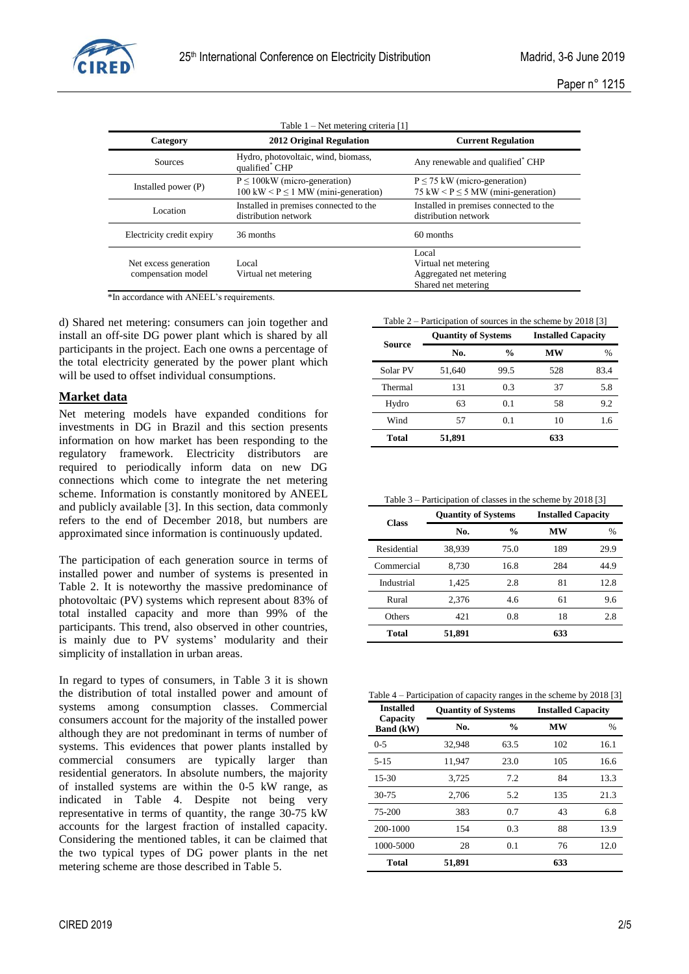

| Table $1 - Net$ metering criteria [1]       |                                                                                                |                                                                                 |  |  |  |
|---------------------------------------------|------------------------------------------------------------------------------------------------|---------------------------------------------------------------------------------|--|--|--|
| Category                                    | <b>2012 Original Regulation</b>                                                                | <b>Current Regulation</b>                                                       |  |  |  |
| <b>Sources</b>                              | Hydro, photovoltaic, wind, biomass,<br>qualified* CHP                                          | Any renewable and qualified <sup>*</sup> CHP                                    |  |  |  |
| Installed power $(P)$                       | $P \leq 100$ kW (micro-generation)<br>$100 \text{ kW} < P \leq 1 \text{ MW (mini-generation)}$ | $P \le 75$ kW (micro-generation)<br>75 kW < $P \le 5$ MW (mini-generation)      |  |  |  |
| Location                                    | Installed in premises connected to the<br>distribution network                                 | Installed in premises connected to the<br>distribution network                  |  |  |  |
| Electricity credit expiry                   | 36 months                                                                                      | 60 months                                                                       |  |  |  |
| Net excess generation<br>compensation model | Local<br>Virtual net metering                                                                  | Local<br>Virtual net metering<br>Aggregated net metering<br>Shared net metering |  |  |  |

\*In accordance with ANEEL's requirements.

d) Shared net metering: consumers can join together and install an off-site DG power plant which is shared by all participants in the project. Each one owns a percentage of the total electricity generated by the power plant which will be used to offset individual consumptions.

## **Market data**

Net metering models have expanded conditions for investments in DG in Brazil and this section presents information on how market has been responding to the regulatory framework. Electricity distributors are required to periodically inform data on new DG connections which come to integrate the net metering scheme. Information is constantly monitored by ANEEL and publicly available [3]. In this section, data commonly refers to the end of December 2018, but numbers are approximated since information is continuously updated.

The participation of each generation source in terms of installed power and number of systems is presented in Table 2. It is noteworthy the massive predominance of photovoltaic (PV) systems which represent about 83% of total installed capacity and more than 99% of the participants. This trend, also observed in other countries, is mainly due to PV systems' modularity and their simplicity of installation in urban areas.

In regard to types of consumers, in Table 3 it is shown the distribution of total installed power and amount of systems among consumption classes. Commercial consumers account for the majority of the installed power although they are not predominant in terms of number of systems. This evidences that power plants installed by commercial consumers are typically larger than residential generators. In absolute numbers, the majority of installed systems are within the 0-5 kW range, as indicated in Table 4. Despite not being very representative in terms of quantity, the range 30-75 kW accounts for the largest fraction of installed capacity. Considering the mentioned tables, it can be claimed that the two typical types of DG power plants in the net metering scheme are those described in Table 5.

CIRED 2019 2/5

Table 2 – Participation of sources in the scheme by 2018 [3]

| Source   | <b>Quantity of Systems</b> |               | <b>Installed Capacity</b> |      |
|----------|----------------------------|---------------|---------------------------|------|
|          | No.                        | $\frac{0}{0}$ | МW                        | $\%$ |
| Solar PV | 51,640                     | 99.5          | 528                       | 83.4 |
| Thermal  | 131                        | 0.3           | 37                        | 5.8  |
| Hydro    | 63                         | 0.1           | 58                        | 9.2  |
| Wind     | 57                         | 0.1           | 10                        | 1.6  |
| Total    | 51,891                     |               | 633                       |      |

| Table $3$ – Participation of classes in the scheme by 2018 [3] |  |
|----------------------------------------------------------------|--|
|----------------------------------------------------------------|--|

| <b>Class</b> | <b>Quantity of Systems</b> |               | <b>Installed Capacity</b> |               |
|--------------|----------------------------|---------------|---------------------------|---------------|
|              | No.                        | $\frac{0}{0}$ | MW                        | $\frac{0}{0}$ |
| Residential  | 38.939                     | 75.0          | 189                       | 29.9          |
| Commercial   | 8,730                      | 16.8          | 284                       | 44.9          |
| Industrial   | 1,425                      | 2.8           | 81                        | 12.8          |
| Rural        | 2,376                      | 4.6           | 61                        | 9.6           |
| Others       | 421                        | 0.8           | 18                        | 2.8           |
| Total        | 51,891                     |               | 633                       |               |

|  | Table 4 – Participation of capacity ranges in the scheme by 2018 [3] |  |
|--|----------------------------------------------------------------------|--|
|  |                                                                      |  |

| <b>Installed</b>             | <b>Quantity of Systems</b> |               | <b>Installed Capacity</b> |      |  |
|------------------------------|----------------------------|---------------|---------------------------|------|--|
| Capacity<br><b>Band</b> (kW) | No.                        | $\frac{0}{0}$ | <b>MW</b>                 | $\%$ |  |
| $0 - 5$                      | 32,948                     | 63.5          | 102                       | 16.1 |  |
| $5 - 15$                     | 11,947                     | 23.0          | 105                       | 16.6 |  |
| $15-30$                      | 3,725                      | 7.2           | 84                        | 13.3 |  |
| $30 - 75$                    | 2,706                      | 5.2           | 135                       | 21.3 |  |
| 75-200                       | 383                        | 0.7           | 43                        | 6.8  |  |
| 200-1000                     | 154                        | 0.3           | 88                        | 13.9 |  |
| 1000-5000                    | 28                         | 0.1           | 76                        | 12.0 |  |
| Total                        | 51,891                     |               | 633                       |      |  |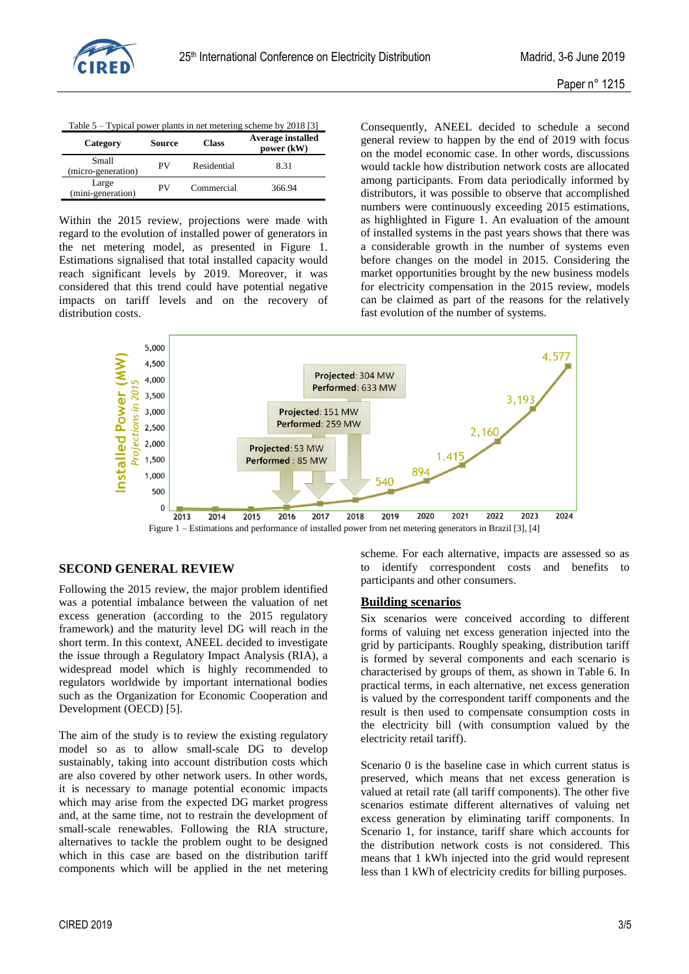

|  | Table 5 – Typical power plants in net metering scheme by 2018 [3] |  |
|--|-------------------------------------------------------------------|--|
|  |                                                                   |  |

| Category                    | Source | <b>Class</b> | <b>Average installed</b><br>power (kW) |
|-----------------------------|--------|--------------|----------------------------------------|
| Small<br>(micro-generation) | PV     | Residential  | 8.31                                   |
| Large<br>(mini-generation)  | PV     | Commercial   | 366.94                                 |

Within the 2015 review, projections were made with regard to the evolution of installed power of generators in the net metering model, as presented in Figure 1. Estimations signalised that total installed capacity would reach significant levels by 2019. Moreover, it was considered that this trend could have potential negative impacts on tariff levels and on the recovery of distribution costs.

Consequently, ANEEL decided to schedule a second general review to happen by the end of 2019 with focus on the model economic case. In other words, discussions would tackle how distribution network costs are allocated among participants. From data periodically informed by distributors, it was possible to observe that accomplished numbers were continuously exceeding 2015 estimations, as highlighted in Figure 1. An evaluation of the amount of installed systems in the past years shows that there was a considerable growth in the number of systems even before changes on the model in 2015. Considering the market opportunities brought by the new business models for electricity compensation in the 2015 review, models can be claimed as part of the reasons for the relatively fast evolution of the number of systems.



Figure 1 – Estimations and performance of installed power from net metering generators in Brazil [3], [4]

# **SECOND GENERAL REVIEW**

Following the 2015 review, the major problem identified was a potential imbalance between the valuation of net excess generation (according to the 2015 regulatory framework) and the maturity level DG will reach in the short term. In this context, ANEEL decided to investigate the issue through a Regulatory Impact Analysis (RIA), a widespread model which is highly recommended to regulators worldwide by important international bodies such as the Organization for Economic Cooperation and Development (OECD) [5].

The aim of the study is to review the existing regulatory model so as to allow small-scale DG to develop sustainably, taking into account distribution costs which are also covered by other network users. In other words, it is necessary to manage potential economic impacts which may arise from the expected DG market progress and, at the same time, not to restrain the development of small-scale renewables. Following the RIA structure, alternatives to tackle the problem ought to be designed which in this case are based on the distribution tariff components which will be applied in the net metering scheme. For each alternative, impacts are assessed so as to identify correspondent costs and benefits to participants and other consumers.

#### **Building scenarios**

Six scenarios were conceived according to different forms of valuing net excess generation injected into the grid by participants. Roughly speaking, distribution tariff is formed by several components and each scenario is characterised by groups of them, as shown in Table 6. In practical terms, in each alternative, net excess generation is valued by the correspondent tariff components and the result is then used to compensate consumption costs in the electricity bill (with consumption valued by the electricity retail tariff).

Scenario 0 is the baseline case in which current status is preserved, which means that net excess generation is valued at retail rate (all tariff components). The other five scenarios estimate different alternatives of valuing net excess generation by eliminating tariff components. In Scenario 1, for instance, tariff share which accounts for the distribution network costs is not considered. This means that 1 kWh injected into the grid would represent less than 1 kWh of electricity credits for billing purposes.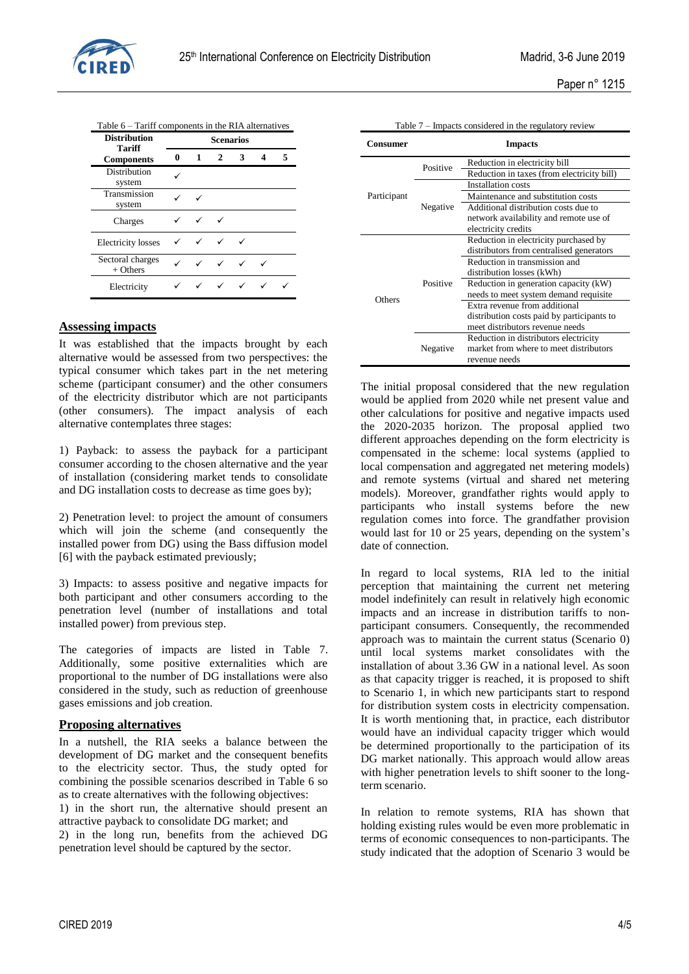

Paper n° 1215

| <b>Distribution</b><br><b>Tariff</b> |   |                           | <b>Scenarios</b> |   |   |
|--------------------------------------|---|---------------------------|------------------|---|---|
| <b>Components</b>                    | 0 | 1                         | $\mathbf{2}$     | 3 | 5 |
| Distribution<br>system               |   |                           |                  |   |   |
| Transmission<br>system               |   |                           |                  |   |   |
| Charges                              |   |                           |                  |   |   |
| <b>Electricity</b> losses            |   |                           |                  |   |   |
| Sectoral charges<br>$+$ Others       |   | $\checkmark$ $\checkmark$ |                  |   |   |
| Electricity                          |   |                           |                  |   |   |

### **Assessing impacts**

It was established that the impacts brought by each alternative would be assessed from two perspectives: the typical consumer which takes part in the net metering scheme (participant consumer) and the other consumers of the electricity distributor which are not participants (other consumers). The impact analysis of each alternative contemplates three stages:

1) Payback: to assess the payback for a participant consumer according to the chosen alternative and the year of installation (considering market tends to consolidate and DG installation costs to decrease as time goes by);

2) Penetration level: to project the amount of consumers which will join the scheme (and consequently the installed power from DG) using the Bass diffusion model [6] with the payback estimated previously;

3) Impacts: to assess positive and negative impacts for both participant and other consumers according to the penetration level (number of installations and total installed power) from previous step.

The categories of impacts are listed in Table 7. Additionally, some positive externalities which are proportional to the number of DG installations were also considered in the study, such as reduction of greenhouse gases emissions and job creation.

### **Proposing alternatives**

In a nutshell, the RIA seeks a balance between the development of DG market and the consequent benefits to the electricity sector. Thus, the study opted for combining the possible scenarios described in Table 6 so as to create alternatives with the following objectives:

1) in the short run, the alternative should present an attractive payback to consolidate DG market; and 2) in the long run, benefits from the achieved DG

penetration level should be captured by the sector.

| Table 7 – Impacts considered in the regulatory review |                |                                            |  |  |
|-------------------------------------------------------|----------------|--------------------------------------------|--|--|
| Consumer                                              | <b>Impacts</b> |                                            |  |  |
|                                                       | Positive       | Reduction in electricity bill              |  |  |
|                                                       |                | Reduction in taxes (from electricity bill) |  |  |
|                                                       |                | <b>Installation</b> costs                  |  |  |
| Participant                                           |                | Maintenance and substitution costs         |  |  |
|                                                       | Negative       | Additional distribution costs due to       |  |  |
|                                                       |                | network availability and remote use of     |  |  |
|                                                       |                | electricity credits                        |  |  |
|                                                       |                | Reduction in electricity purchased by      |  |  |
|                                                       |                | distributors from centralised generators   |  |  |
|                                                       |                | Reduction in transmission and              |  |  |
|                                                       |                | distribution losses (kWh)                  |  |  |
|                                                       | Positive       | Reduction in generation capacity (kW)      |  |  |
| Others                                                |                | needs to meet system demand requisite      |  |  |
|                                                       |                | Extra revenue from additional              |  |  |
|                                                       |                | distribution costs paid by participants to |  |  |
|                                                       |                | meet distributors revenue needs            |  |  |
|                                                       | Negative       | Reduction in distributors electricity      |  |  |
|                                                       |                | market from where to meet distributors     |  |  |
|                                                       |                | revenue needs                              |  |  |

The initial proposal considered that the new regulation would be applied from 2020 while net present value and other calculations for positive and negative impacts used the 2020-2035 horizon. The proposal applied two different approaches depending on the form electricity is compensated in the scheme: local systems (applied to local compensation and aggregated net metering models) and remote systems (virtual and shared net metering models). Moreover, grandfather rights would apply to participants who install systems before the new regulation comes into force. The grandfather provision would last for 10 or 25 years, depending on the system's date of connection.

In regard to local systems, RIA led to the initial perception that maintaining the current net metering model indefinitely can result in relatively high economic impacts and an increase in distribution tariffs to nonparticipant consumers. Consequently, the recommended approach was to maintain the current status (Scenario 0) until local systems market consolidates with the installation of about 3.36 GW in a national level. As soon as that capacity trigger is reached, it is proposed to shift to Scenario 1, in which new participants start to respond for distribution system costs in electricity compensation. It is worth mentioning that, in practice, each distributor would have an individual capacity trigger which would be determined proportionally to the participation of its DG market nationally. This approach would allow areas with higher penetration levels to shift sooner to the longterm scenario.

In relation to remote systems, RIA has shown that holding existing rules would be even more problematic in terms of economic consequences to non-participants. The study indicated that the adoption of Scenario 3 would be